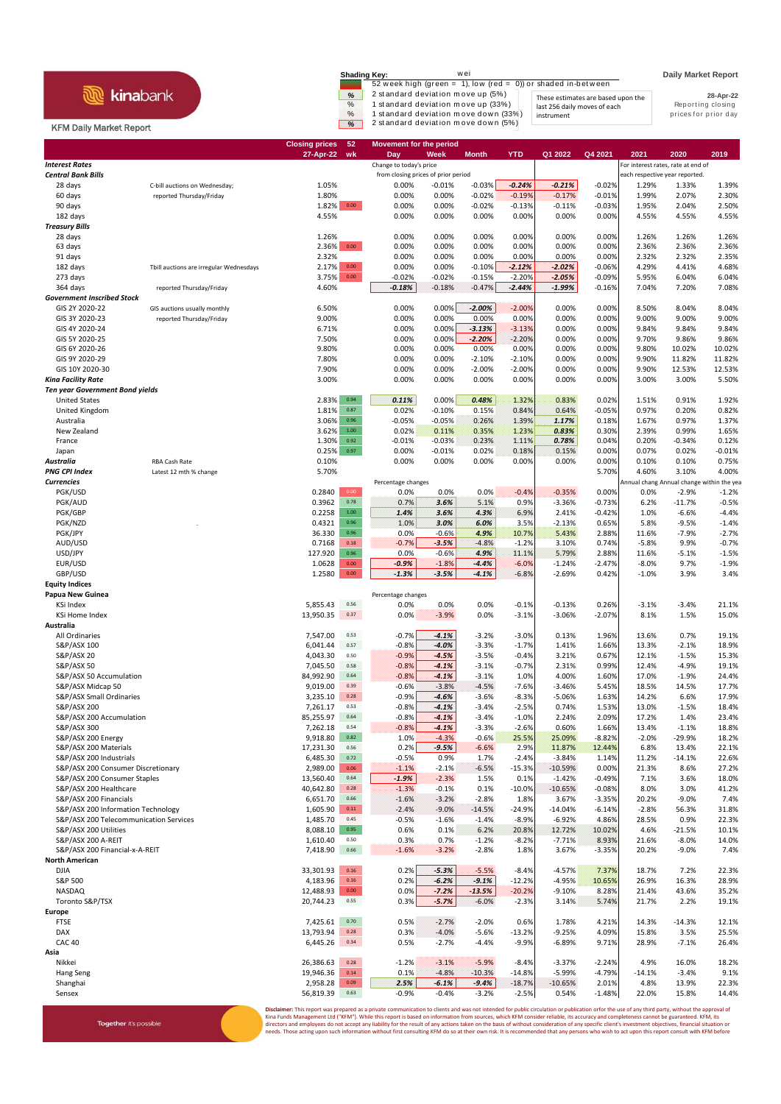## **R** kinabank

Together it's possible

## KFM Daily Market Report

| <b>Shading Key:</b> | wei                                                                                                             |                                                                                  | <b>Daily Market Report</b>                             |
|---------------------|-----------------------------------------------------------------------------------------------------------------|----------------------------------------------------------------------------------|--------------------------------------------------------|
|                     | 52 week high (green = 1), low (red = 0)) or shaded in-between                                                   |                                                                                  |                                                        |
| %<br>$\%$<br>$\%$   | 2 standard deviation move up (5%)<br>1 standard deviation move up (33%)<br>1 standard deviation move down (33%) | These estimates are based upon the<br>last 256 daily moves of each<br>instrument | 28-Apr-22<br>Reporting closing<br>prices for prior day |
| $\%$                | 2 standard deviation move down (5%)                                                                             |                                                                                  |                                                        |

|                                                               |                                         | 52<br>Closing prices                 | <b>Movement for the period</b>      |                 |                   |                     |                       |                |                |                                                                      |                  |
|---------------------------------------------------------------|-----------------------------------------|--------------------------------------|-------------------------------------|-----------------|-------------------|---------------------|-----------------------|----------------|----------------|----------------------------------------------------------------------|------------------|
| <b>Interest Rates</b>                                         |                                         | 27-Apr-22<br>wk                      | Day<br>Change to today's price      | Week            | <b>Month</b>      | <b>YTD</b>          | Q1 2022               | Q4 2021        | 2021           | 2020                                                                 | 2019             |
| <b>Central Bank Bills</b>                                     |                                         |                                      | from closing prices of prior period |                 |                   |                     |                       |                |                | For interest rates, rate at end of<br>each respective year reported. |                  |
| 28 days                                                       | C-bill auctions on Wednesday;           | 1.05%                                | 0.00%                               | $-0.01%$        | $-0.03%$          | $-0.24%$            | $-0.21%$              | $-0.02%$       | 1.29%          | 1.33%                                                                | 1.39%            |
| 60 days                                                       | reported Thursday/Friday                | 1.80%                                | 0.00%                               | 0.00%           | $-0.02%$          | $-0.19%$            | $-0.17%$              | $-0.01%$       | 1.99%          | 2.07%                                                                | 2.30%            |
| 90 days                                                       |                                         | 1.82% 0.00                           | 0.00%                               | 0.00%           | $-0.02%$          | $-0.13%$            | $-0.11%$              | $-0.03%$       | 1.95%          | 2.04%                                                                | 2.50%            |
| 182 days                                                      |                                         | 4.55%                                | 0.00%                               | 0.00%           | 0.00%             | 0.00%               | 0.00%                 | 0.00%          | 4.55%          | 4.55%                                                                | 4.55%            |
| <b>Treasury Bills</b>                                         |                                         |                                      |                                     |                 |                   |                     |                       |                |                |                                                                      |                  |
| 28 days                                                       |                                         | 1.26%                                | 0.00%                               | 0.00%           | 0.00%             | 0.00%               | 0.00%                 | 0.00%          | 1.26%          | 1.26%                                                                | 1.26%            |
| 63 days                                                       |                                         | $0.00\,$<br>2.36%                    | 0.00%                               | 0.00%           | 0.00%             | 0.00%               | 0.00%                 | 0.00%          | 2.36%          | 2.36%                                                                | 2.36%            |
| 91 days                                                       |                                         | 2.32%                                | 0.00%                               | 0.00%           | 0.00%             | 0.00%               | 0.00%                 | 0.00%          | 2.32%          | 2.32%                                                                | 2.35%            |
| 182 days                                                      | Tbill auctions are irregular Wednesdays | 2.17%<br>0.00                        | 0.00%                               | 0.00%           | $-0.10%$          | $-2.12%$            | $-2.02%$              | $-0.06%$       | 4.29%          | 4.41%                                                                | 4.68%            |
| 273 days                                                      |                                         | $0.00\,$<br>3.75%                    | $-0.02%$                            | $-0.02%$        | $-0.15%$          | $-2.20%$            | $-2.05%$              | $-0.09%$       | 5.95%          | 6.04%                                                                | 6.04%            |
| 364 days                                                      | reported Thursday/Friday                | 4.60%                                | $-0.18%$                            | $-0.18%$        | $-0.47%$          | $-2.44%$            | $-1.99%$              | $-0.16%$       | 7.04%          | 7.20%                                                                | 7.08%            |
| <b>Government Inscribed Stock</b>                             |                                         |                                      |                                     |                 |                   |                     |                       |                |                |                                                                      |                  |
| GIS 2Y 2020-22                                                | GIS auctions usually monthly            | 6.50%                                | 0.00%                               | 0.00%           | $-2.00%$          | $-2.00%$            | 0.00%                 | 0.00%          | 8.50%          | 8.04%                                                                | 8.04%            |
| GIS 3Y 2020-23                                                | reported Thursday/Friday                | 9.00%                                | 0.00%                               | 0.00%           | 0.00%             | 0.00%               | 0.00%                 | 0.00%          | 9.00%          | 9.00%                                                                | 9.00%            |
| GIS 4Y 2020-24                                                |                                         | 6.71%                                | 0.00%                               | 0.00%           | $-3.13%$          | $-3.13%$            | 0.00%                 | 0.00%          | 9.84%          | 9.84%                                                                | 9.84%            |
| GIS 5Y 2020-25                                                |                                         | 7.50%                                | 0.00%                               | 0.00%           | $-2.20%$          | $-2.20%$            | 0.00%                 | 0.00%          | 9.70%          | 9.86%                                                                | 9.86%            |
| GIS 6Y 2020-26<br>GIS 9Y 2020-29                              |                                         | 9.80%<br>7.80%                       | 0.00%<br>0.00%                      | 0.00%<br>0.00%  | 0.00%<br>$-2.10%$ | 0.00%<br>$-2.10%$   | 0.00%<br>0.00%        | 0.00%<br>0.00% | 9.80%<br>9.90% | 10.02%<br>11.82%                                                     | 10.02%<br>11.82% |
| GIS 10Y 2020-30                                               |                                         | 7.90%                                | 0.00%                               | 0.00%           | $-2.00%$          | $-2.00%$            | 0.00%                 | 0.00%          | 9.90%          | 12.53%                                                               | 12.53%           |
| Kina Facility Rate                                            |                                         | 3.00%                                | 0.00%                               | 0.00%           | 0.00%             | 0.00%               | 0.00%                 | 0.00%          | 3.00%          | 3.00%                                                                | 5.50%            |
| <b>Ten year Government Bond yields</b>                        |                                         |                                      |                                     |                 |                   |                     |                       |                |                |                                                                      |                  |
| <b>United States</b>                                          |                                         | 0.94<br>2.83%                        | 0.11%                               | 0.00%           | 0.48%             | 1.32%               | 0.83%                 | 0.02%          | 1.51%          | 0.91%                                                                | 1.92%            |
| United Kingdom                                                |                                         | 1.81%<br>0.87                        | 0.02%                               | $-0.10%$        | 0.15%             | 0.84%               | 0.64%                 | $-0.05%$       | 0.97%          | 0.20%                                                                | 0.82%            |
| Australia                                                     |                                         | 3.06%<br>0.96                        | $-0.05%$                            | $-0.05%$        | 0.26%             | 1.39%               | 1.17%                 | 0.18%          | 1.67%          | 0.97%                                                                | 1.37%            |
| New Zealand                                                   |                                         | 3.62%<br>$1.00\,$                    | 0.02%                               | 0.11%           | 0.35%             | 1.23%               | 0.83%                 | 0.30%          | 2.39%          | 0.99%                                                                | 1.65%            |
| France                                                        |                                         | 1.30%<br>0.92                        | $-0.01%$                            | $-0.03%$        | 0.23%             | 1.11%               | 0.78%                 | 0.04%          | 0.20%          | $-0.34%$                                                             | 0.12%            |
| Japan                                                         |                                         | 0.25%<br>0.97                        | 0.00%                               | $-0.01%$        | 0.02%             | 0.18%               | 0.15%                 | 0.00%          | 0.07%          | 0.02%                                                                | $-0.01%$         |
| <b>Australia</b>                                              | RBA Cash Rate                           | 0.10%                                | 0.00%                               | 0.00%           | 0.00%             | 0.00%               | 0.00%                 | 0.00%          | 0.10%          | 0.10%                                                                | 0.75%            |
| <b>PNG CPI Index</b>                                          | Latest 12 mth % change                  | 5.70%                                |                                     |                 |                   |                     |                       | 5.70%          | 4.60%          | 3.10%                                                                | 4.00%            |
| <b>Currencies</b>                                             |                                         |                                      | Percentage changes                  |                 |                   |                     |                       |                |                | Annual chang Annual change within the yea                            |                  |
| PGK/USD                                                       |                                         | 0.2840<br>0.00                       | 0.0%                                | 0.0%            | 0.0%              | $-0.4%$             | $-0.35%$              | 0.00%          | 0.0%           | $-2.9%$                                                              | $-1.2%$          |
| PGK/AUD                                                       |                                         | 0.3962<br>0.78                       | 0.7%                                | 3.6%            | 5.1%              | 0.9%                | $-3.36%$              | $-0.73%$       | 6.2%           | $-11.7%$                                                             | $-0.5%$          |
| PGK/GBP                                                       |                                         | 0.2258<br>$1.00\,$                   | 1.4%                                | 3.6%            | 4.3%              | 6.9%                | 2.41%                 | $-0.42%$       | 1.0%           | $-6.6%$                                                              | $-4.4%$          |
| PGK/NZD                                                       |                                         | 0.4321<br>0.96                       | 1.0%                                | 3.0%            | 6.0%              | 3.5%                | $-2.13%$              | 0.65%          | 5.8%           | $-9.5%$                                                              | $-1.4%$          |
| PGK/JPY                                                       |                                         | 36.330<br>0.96                       | 0.0%                                | $-0.6%$         | 4.9%              | 10.7%               | 5.43%                 | 2.88%          | 11.6%          | $-7.9%$                                                              | $-2.7%$          |
| AUD/USD                                                       |                                         | 0.18<br>0.7168                       | $-0.7%$                             | $-3.5%$         | $-4.8%$           | $-1.2%$             | 3.10%                 | 0.74%          | $-5.8%$        | 9.9%                                                                 | $-0.7%$          |
| USD/JPY                                                       |                                         | 127.920<br>0.96                      | 0.0%                                | $-0.6%$         | 4.9%              | 11.1%               | 5.79%                 | 2.88%          | 11.6%          | $-5.1%$                                                              | $-1.5%$          |
| EUR/USD                                                       |                                         | 1.0628<br>0.00                       | $-0.9%$                             | $-1.8%$         | $-4.4%$           | $-6.0%$             | $-1.24%$              | $-2.47%$       | $-8.0%$        | 9.7%                                                                 | $-1.9%$          |
| GBP/USD                                                       |                                         | 1.2580<br>$0.00\,$                   | $-1.3%$                             | $-3.5%$         | $-4.1%$           | $-6.8%$             | $-2.69%$              | 0.42%          | $-1.0%$        | 3.9%                                                                 | 3.4%             |
| <b>Equity Indices</b>                                         |                                         |                                      |                                     |                 |                   |                     |                       |                |                |                                                                      |                  |
| Papua New Guinea                                              |                                         |                                      | Percentage changes                  |                 |                   |                     |                       |                |                |                                                                      |                  |
| KSi Index                                                     |                                         | 0.56<br>5,855.43                     | 0.0%                                | 0.0%            | 0.0%              | $-0.1%$             | $-0.13%$              | 0.26%          | $-3.1%$        | $-3.4%$                                                              | 21.1%            |
| <b>KSi Home Index</b>                                         |                                         | 13,950.35<br>0.37                    | 0.0%                                | $-3.9%$         | 0.0%              | $-3.1%$             | $-3.06%$              | $-2.07%$       | 8.1%           | 1.5%                                                                 | 15.0%            |
| Australia                                                     |                                         |                                      |                                     |                 |                   |                     |                       |                |                |                                                                      |                  |
| All Ordinaries                                                |                                         | 0.53<br>7,547.00                     | $-0.7%$                             | $-4.1%$         | $-3.2%$           | $-3.0%$             | 0.13%                 | 1.96%          | 13.6%          | 0.7%                                                                 | 19.1%            |
| S&P/ASX 100                                                   |                                         | 6,041.44<br>0.57                     | $-0.8%$                             | $-4.0%$         | $-3.3%$           | $-1.7%$             | 1.41%                 | 1.66%          | 13.3%          | $-2.1%$                                                              | 18.9%            |
| <b>S&amp;P/ASX 20</b>                                         |                                         | 4,043.30<br>0.50                     | $-0.9%$                             | $-4.5%$         | $-3.5%$           | $-0.4%$             | 3.21%                 | 0.67%          | 12.1%          | $-1.5%$                                                              | 15.3%            |
| S&P/ASX 50                                                    |                                         | 7,045.50<br>0.58                     | $-0.8%$                             | $-4.1%$         | $-3.1%$           | $-0.7%$             | 2.31%                 | 0.99%          | 12.4%          | $-4.9%$                                                              | 19.1%            |
| S&P/ASX 50 Accumulation                                       |                                         | 84,992.90<br>0.64                    | $-0.8%$                             | $-4.1%$         | $-3.1%$           | 1.0%                | 4.00%                 | 1.60%          | 17.0%          | $-1.9%$                                                              | 24.4%            |
| S&P/ASX Midcap 50                                             |                                         | 9,019.00<br>0.39                     | $-0.6%$                             | $-3.8%$         | $-4.5%$           | $-7.6%$             | $-3.46%$              | 5.45%          | 18.5%          | 14.5%                                                                | 17.7%            |
| S&P/ASX Small Ordinaries                                      |                                         | 3,235.10<br>0.28                     | $-0.9%$                             | $-4.6%$         | $-3.6%$           | $-8.3%$             | -5.06%                | 1.63%          | 14.2%          | 6.6%                                                                 | 17.9%            |
| S&P/ASX 200                                                   |                                         | 0.53<br>7,261.17                     | $-0.8%$                             | $-4.1%$         | $-3.4%$           | $-2.5%$             | 0.74%                 | 1.53%          | 13.0%          | $-1.5%$                                                              | 18.4%            |
| S&P/ASX 200 Accumulation                                      |                                         | 85,255.97<br>0.64                    | $-0.8%$                             | $-4.1%$         | $-3.4%$           | $-1.0%$             | 2.24%                 | 2.09%          | 17.2%          | 1.4%                                                                 | 23.4%            |
| S&P/ASX 300                                                   |                                         | 7,262.18<br>0.54                     | $-0.8%$                             | $-4.1%$         | $-3.3%$           | $-2.6%$             | 0.60%                 | 1.66%          | 13.4%          | $-1.1%$                                                              | 18.8%            |
| S&P/ASX 200 Energy                                            |                                         | 9,918.80<br>0.82                     | 1.0%                                | $-4.3%$         | $-0.6%$           | 25.5%<br>2.9%       | 25.09%                | $-8.82%$       | $-2.0%$        | $-29.9%$                                                             | 18.2%            |
| S&P/ASX 200 Materials                                         |                                         | 17,231.30<br>0.56                    | 0.2%                                | $-9.5%$         | $-6.6%$           |                     | 11.87%                | 12.44%         | 6.8%           | 13.4%                                                                | 22.1%            |
| S&P/ASX 200 Industrials<br>S&P/ASX 200 Consumer Discretionary |                                         | 6,485.30<br>0.72<br>2,989.00<br>0.06 | $-0.5%$<br>$-1.1%$                  | 0.9%<br>$-2.1%$ | 1.7%<br>$-6.5%$   | $-2.4%$<br>$-15.3%$ | $-3.84%$<br>$-10.59%$ | 1.14%<br>0.00% | 11.2%<br>21.3% | $-14.1%$<br>8.6%                                                     | 22.6%<br>27.2%   |
| S&P/ASX 200 Consumer Staples                                  |                                         | 13,560.40<br>0.64                    | $-1.9%$                             | $-2.3%$         | 1.5%              | 0.1%                | $-1.42%$              | $-0.49%$       | 7.1%           | 3.6%                                                                 | 18.0%            |
| S&P/ASX 200 Healthcare                                        |                                         | 40,642.80<br>0.28                    | $-1.3%$                             | $-0.1%$         | 0.1%              | $-10.0%$            | $-10.65%$             | $-0.08%$       | 8.0%           | 3.0%                                                                 | 41.2%            |
| S&P/ASX 200 Financials                                        |                                         | 6,651.70<br>0.66                     | $-1.6%$                             | $-3.2%$         | $-2.8%$           | 1.8%                | 3.67%                 | $-3.35%$       | 20.2%          | $-9.0%$                                                              | 7.4%             |
| S&P/ASX 200 Information Technology                            |                                         | 1,605.90<br>0.11                     | $-2.4%$                             | $-9.0%$         | $-14.5%$          | $-24.9%$            | $-14.04%$             | $-6.14%$       | $-2.8%$        | 56.3%                                                                | 31.8%            |
| S&P/ASX 200 Telecommunication Services                        |                                         | 1,485.70<br>0.45                     | $-0.5%$                             | $-1.6%$         | $-1.4%$           | $-8.9%$             | $-6.92%$              | 4.86%          | 28.5%          | 0.9%                                                                 | 22.3%            |
| S&P/ASX 200 Utilities                                         |                                         | 8,088.10<br>0.95                     | 0.6%                                | 0.1%            | 6.2%              | 20.8%               | 12.72%                | 10.02%         | 4.6%           | $-21.5%$                                                             | 10.1%            |
| S&P/ASX 200 A-REIT                                            |                                         | 1,610.40<br>0.50                     | 0.3%                                | 0.7%            | $-1.2%$           | $-8.2%$             | $-7.71%$              | 8.93%          | 21.6%          | $-8.0%$                                                              | 14.0%            |
| S&P/ASX 200 Financial-x-A-REIT                                |                                         | 7,418.90<br>0.66                     | $-1.6%$                             | $-3.2%$         | $-2.8%$           | 1.8%                | 3.67%                 | $-3.35%$       | 20.2%          | $-9.0%$                                                              | 7.4%             |
| <b>North American</b>                                         |                                         |                                      |                                     |                 |                   |                     |                       |                |                |                                                                      |                  |
| <b>DJIA</b>                                                   |                                         | 33,301.93<br>0.16                    | 0.2%                                | $-5.3%$         | $-5.5%$           | $-8.4%$             | $-4.57%$              | 7.37%          | 18.7%          | 7.2%                                                                 | 22.3%            |
| S&P 500                                                       |                                         | 4,183.96<br>0.16                     | 0.2%                                | $-6.2%$         | $-9.1%$           | $-12.2%$            | $-4.95%$              | 10.65%         | 26.9%          | 16.3%                                                                | 28.9%            |
| <b>NASDAQ</b>                                                 |                                         | 0.00<br>12,488.93                    | 0.0%                                | $-7.2%$         | $-13.5%$          | $-20.2%$            | $-9.10%$              | 8.28%          | 21.4%          | 43.6%                                                                | 35.2%            |
| Toronto S&P/TSX                                               |                                         | 20,744.23<br>0.55                    | 0.3%                                | $-5.7%$         | $-6.0%$           | $-2.3%$             | 3.14%                 | 5.74%          | 21.7%          | 2.2%                                                                 | 19.1%            |
| Europe                                                        |                                         |                                      |                                     |                 |                   |                     |                       |                |                |                                                                      |                  |
| <b>FTSE</b>                                                   |                                         | 7,425.61<br>0.70                     | 0.5%                                | $-2.7%$         | $-2.0%$           | 0.6%                | 1.78%                 | 4.21%          | 14.3%          | $-14.3%$                                                             | 12.1%            |
| DAX                                                           |                                         | 0.28<br>13,793.94                    | 0.3%                                | $-4.0%$         | $-5.6%$           | $-13.2%$            | $-9.25%$              | 4.09%          | 15.8%          | 3.5%                                                                 | 25.5%            |
| <b>CAC 40</b>                                                 |                                         | 6,445.26<br>0.34                     | 0.5%                                | $-2.7%$         | $-4.4%$           | $-9.9%$             | $-6.89%$              | 9.71%          | 28.9%          | $-7.1%$                                                              | 26.4%            |
| Asia                                                          |                                         |                                      |                                     |                 |                   |                     |                       |                |                |                                                                      |                  |
| Nikkei                                                        |                                         | 26,386.63<br>0.28                    | $-1.2%$                             | $-3.1%$         | $-5.9%$           | $-8.4%$             | $-3.37%$              | $-2.24%$       | 4.9%           | 16.0%                                                                | 18.2%            |
| Hang Seng                                                     |                                         | 19,946.36<br>0.14                    | 0.1%                                | $-4.8%$         | $-10.3%$          | $-14.8%$            | $-5.99%$              | $-4.79%$       | $-14.1%$       | $-3.4%$                                                              | 9.1%             |
| Shanghai                                                      |                                         | 2,958.28<br>0.09                     | 2.5%                                | $-6.1%$         | $-9.4%$           | $-18.7%$            | $-10.65%$             | 2.01%          | 4.8%           | 13.9%                                                                | 22.3%            |
| Sensex                                                        |                                         | 0.63<br>56,819.39                    | $-0.9%$                             | $-0.4%$         | $-3.2%$           | $-2.5%$             | 0.54%                 | $-1.48%$       | 22.0%          | 15.8%                                                                | 14.4%            |

**Disclaimer**: This report was prepared as a private communication to clients and was not intended for public circulation or publication orfor the use of any third party, without the approval of<br>Kina Funds Management Ltd ("